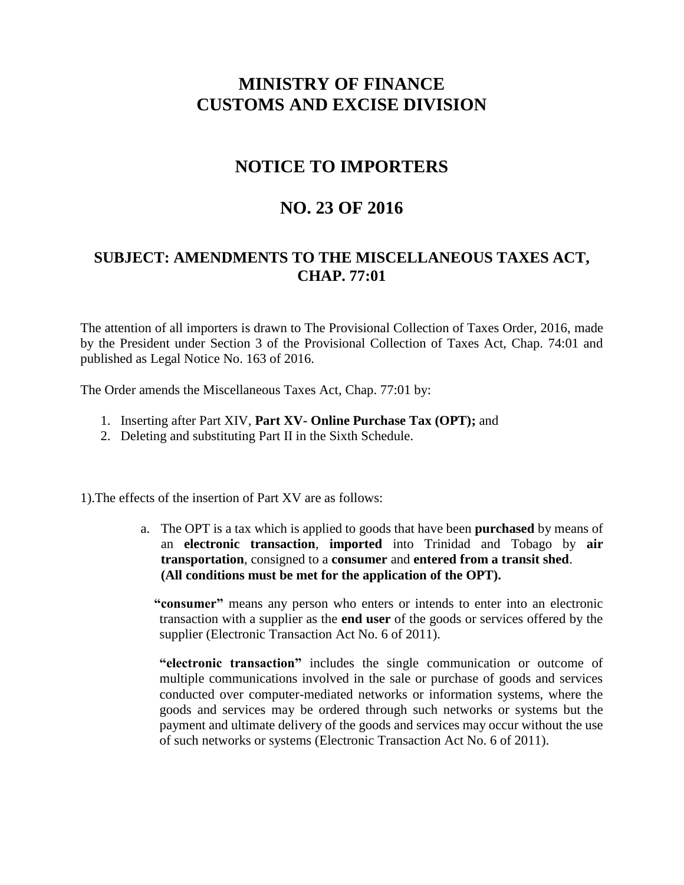# **MINISTRY OF FINANCE CUSTOMS AND EXCISE DIVISION**

# **NOTICE TO IMPORTERS**

## **NO. 23 OF 2016**

### **SUBJECT: AMENDMENTS TO THE MISCELLANEOUS TAXES ACT, CHAP. 77:01**

The attention of all importers is drawn to The Provisional Collection of Taxes Order, 2016, made by the President under Section 3 of the Provisional Collection of Taxes Act, Chap. 74:01 and published as Legal Notice No. 163 of 2016.

The Order amends the Miscellaneous Taxes Act, Chap. 77:01 by:

- 1. Inserting after Part XIV, **Part XV- Online Purchase Tax (OPT);** and
- 2. Deleting and substituting Part II in the Sixth Schedule.

1).The effects of the insertion of Part XV are as follows:

a. The OPT is a tax which is applied to goods that have been **purchased** by means of an **electronic transaction**, **imported** into Trinidad and Tobago by **air transportation**, consigned to a **consumer** and **entered from a transit shed**. **(All conditions must be met for the application of the OPT).**

 **"consumer"** means any person who enters or intends to enter into an electronic transaction with a supplier as the **end user** of the goods or services offered by the supplier (Electronic Transaction Act No. 6 of 2011).

**"electronic transaction"** includes the single communication or outcome of multiple communications involved in the sale or purchase of goods and services conducted over computer-mediated networks or information systems, where the goods and services may be ordered through such networks or systems but the payment and ultimate delivery of the goods and services may occur without the use of such networks or systems (Electronic Transaction Act No. 6 of 2011).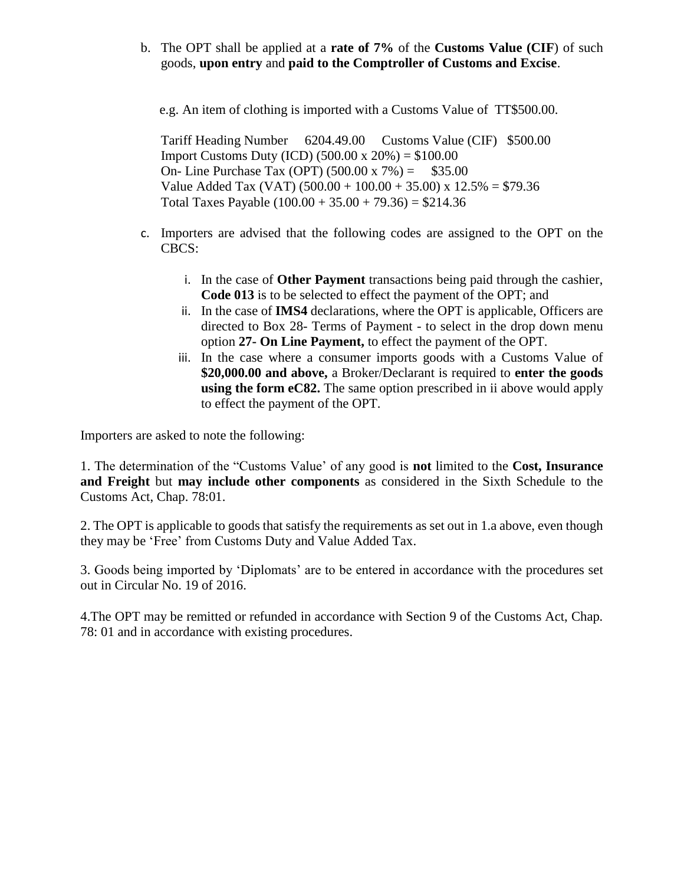b. The OPT shall be applied at a **rate of 7%** of the **Customs Value (CIF**) of such goods, **upon entry** and **paid to the Comptroller of Customs and Excise**.

e.g. An item of clothing is imported with a Customs Value of TT\$500.00.

Tariff Heading Number 6204.49.00 Customs Value (CIF) \$500.00 Import Customs Duty (ICD) (500.00 x 20%) = \$100.00 On- Line Purchase Tax (OPT)  $(500.00 \times 7\%) =$  \$35.00 Value Added Tax (VAT)  $(500.00 + 100.00 + 35.00)$  x  $12.5% = $79.36$ Total Taxes Payable  $(100.00 + 35.00 + 79.36) = $214.36$ 

- c. Importers are advised that the following codes are assigned to the OPT on the CBCS:
	- i. In the case of **Other Payment** transactions being paid through the cashier, **Code 013** is to be selected to effect the payment of the OPT; and
	- ii. In the case of **IMS4** declarations, where the OPT is applicable, Officers are directed to Box 28- Terms of Payment - to select in the drop down menu option **27- On Line Payment,** to effect the payment of the OPT.
	- iii. In the case where a consumer imports goods with a Customs Value of **\$20,000.00 and above,** a Broker/Declarant is required to **enter the goods using the form eC82.** The same option prescribed in ii above would apply to effect the payment of the OPT.

Importers are asked to note the following:

1. The determination of the "Customs Value' of any good is **not** limited to the **Cost, Insurance and Freight** but **may include other components** as considered in the Sixth Schedule to the Customs Act, Chap. 78:01.

2. The OPT is applicable to goods that satisfy the requirements as set out in 1.a above, even though they may be 'Free' from Customs Duty and Value Added Tax.

3. Goods being imported by 'Diplomats' are to be entered in accordance with the procedures set out in Circular No. 19 of 2016.

4.The OPT may be remitted or refunded in accordance with Section 9 of the Customs Act, Chap. 78: 01 and in accordance with existing procedures.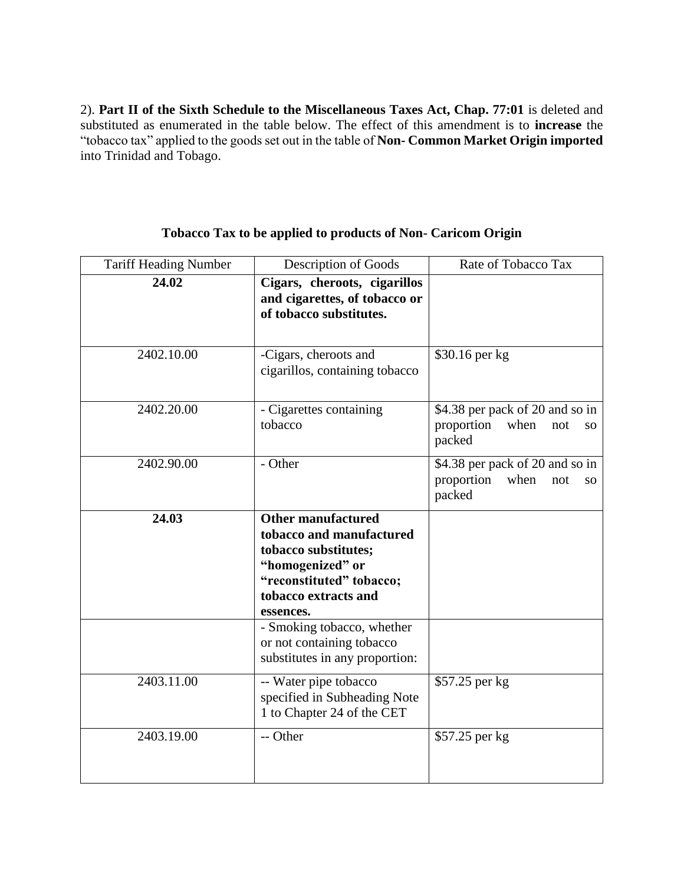2). **Part II of the Sixth Schedule to the Miscellaneous Taxes Act, Chap. 77:01** is deleted and substituted as enumerated in the table below. The effect of this amendment is to **increase** the "tobacco tax" applied to the goods set out in the table of **Non- Common Market Origin imported**  into Trinidad and Tobago.

| <b>Tariff Heading Number</b> | <b>Description of Goods</b>                                                                                                                                        | Rate of Tobacco Tax                                                          |
|------------------------------|--------------------------------------------------------------------------------------------------------------------------------------------------------------------|------------------------------------------------------------------------------|
| 24.02                        | Cigars, cheroots, cigarillos<br>and cigarettes, of tobacco or<br>of tobacco substitutes.                                                                           |                                                                              |
| 2402.10.00                   | -Cigars, cheroots and<br>cigarillos, containing tobacco                                                                                                            | \$30.16 per kg                                                               |
| 2402.20.00                   | - Cigarettes containing<br>tobacco                                                                                                                                 | \$4.38 per pack of 20 and so in<br>proportion<br>when<br>not<br>SO<br>packed |
| 2402.90.00                   | - Other                                                                                                                                                            | \$4.38 per pack of 20 and so in<br>proportion<br>when<br>not<br>SO<br>packed |
| 24.03                        | <b>Other manufactured</b><br>tobacco and manufactured<br>tobacco substitutes;<br>"homogenized" or<br>"reconstituted" tobacco;<br>tobacco extracts and<br>essences. |                                                                              |
|                              | - Smoking tobacco, whether<br>or not containing tobacco<br>substitutes in any proportion:                                                                          |                                                                              |
| 2403.11.00                   | -- Water pipe tobacco<br>specified in Subheading Note<br>1 to Chapter 24 of the CET                                                                                | \$57.25 per kg                                                               |
| 2403.19.00                   | -- Other                                                                                                                                                           | \$57.25 per kg                                                               |

#### **Tobacco Tax to be applied to products of Non- Caricom Origin**